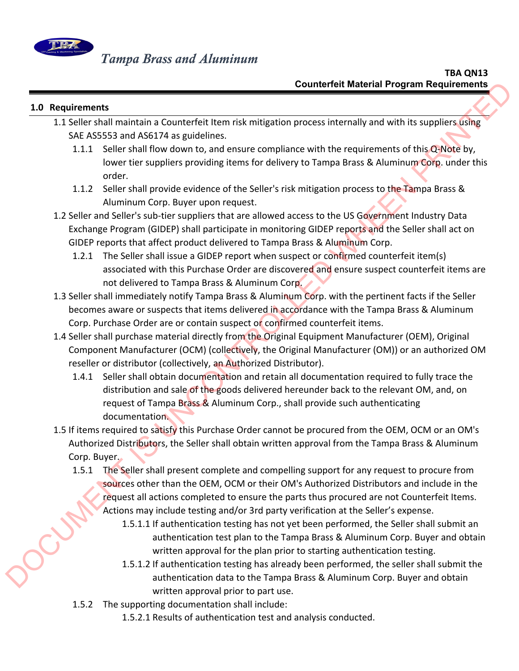

## **1.0 Requirements**

- 1.1 Seller shall maintain a Counterfeit Item risk mitigation process internally and with its suppliers using SAE AS5553 and AS6174 as guidelines.
	- 1.1.1 Seller shall flow down to, and ensure compliance with the requirements of this Q-Note by, lower tier suppliers providing items for delivery to Tampa Brass & Aluminum Corp. under this order.
	- 1.1.2 Seller shall provide evidence of the Seller's risk mitigation process to the Tampa Brass & Aluminum Corp. Buyer upon request.
- 1.2 Seller and Seller's sub-tier suppliers that are allowed access to the US Government Industry Data Exchange Program (GIDEP) shall participate in monitoring GIDEP reports and the Seller shall act on GIDEP reports that affect product delivered to Tampa Brass & Aluminum Corp.
	- 1.2.1 The Seller shall issue a GIDEP report when suspect or confirmed counterfeit item(s) associated with this Purchase Order are discovered and ensure suspect counterfeit items are not delivered to Tampa Brass & Aluminum Corp.
- 1.3 Seller shall immediately notify Tampa Brass & Aluminum Corp. with the pertinent facts if the Seller becomes aware or suspects that items delivered in accordance with the Tampa Brass & Aluminum Corp. Purchase Order are or contain suspect or confirmed counterfeit items.
- 1.4 Seller shall purchase material directly from the Original Equipment Manufacturer (OEM), Original Component Manufacturer (OCM) (collectively, the Original Manufacturer (OM)) or an authorized OM reseller or distributor (collectively, an Authorized Distributor).
- 1.4.1 Seller shall obtain documentation and retain all documentation required to fully trace the distribution and sale of the goods delivered hereunder back to the relevant OM, and, on request of Tampa Brass & Aluminum Corp., shall provide such authenticating documentation. Counterfelt Material Program Requirements<br>
1.1 Seller shall maintain a Counterfelt item risk mitigation process internally and with its supplier schep<br>
1.1 Seller shall movide when the main technology of the applier schep<br>
	- 1.5 If items required to satisfy this Purchase Order cannot be procured from the OEM, OCM or an OM's Authorized Distributors, the Seller shall obtain written approval from the Tampa Brass & Aluminum Corp. Buyer.
		- 1.5.1 The Seller shall present complete and compelling support for any request to procure from sources other than the OEM, OCM or their OM's Authorized Distributors and include in the request all actions completed to ensure the parts thus procured are not Counterfeit Items. Actions may include testing and/or 3rd party verification at the Seller's expense.
			- 1.5.1.1 If authentication testing has not yet been performed, the Seller shall submit an authentication test plan to the Tampa Brass & Aluminum Corp. Buyer and obtain written approval for the plan prior to starting authentication testing.
			- 1.5.1.2 If authentication testing has already been performed, the seller shall submit the authentication data to the Tampa Brass & Aluminum Corp. Buyer and obtain written approval prior to part use.
		- 1.5.2 The supporting documentation shall include:
			- 1.5.2.1 Results of authentication test and analysis conducted.